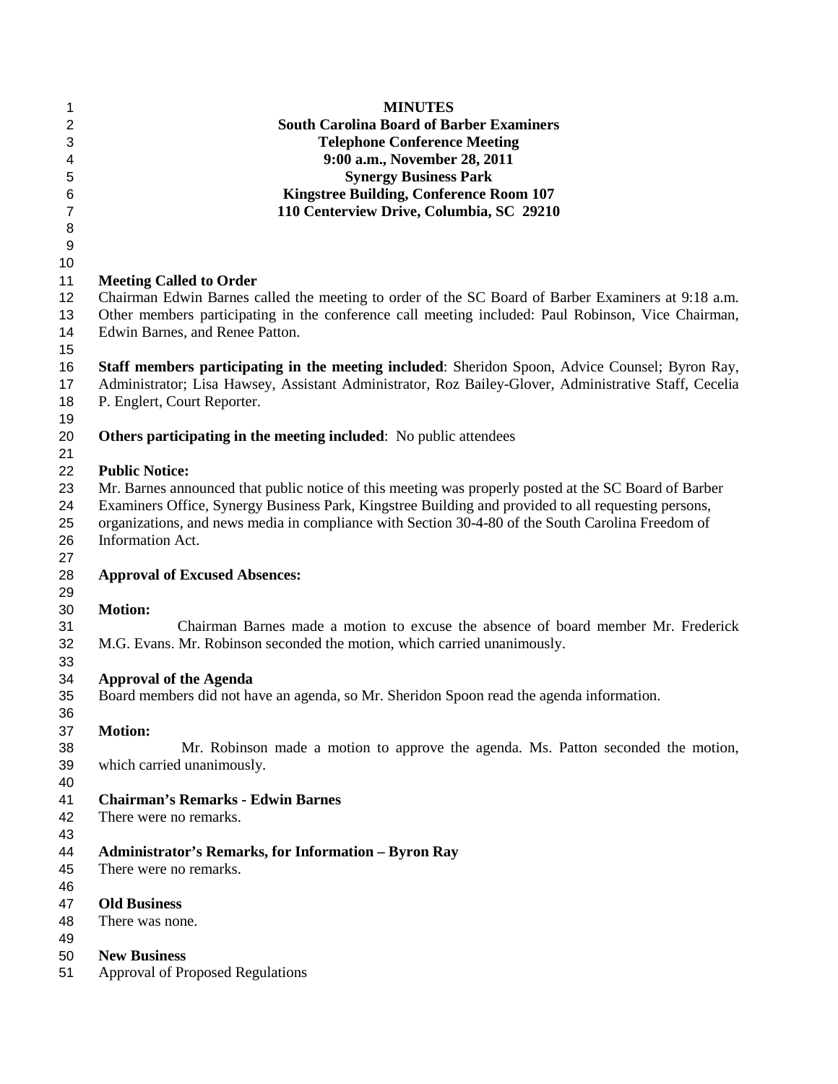| 1               | <b>MINUTES</b>                                                                                        |
|-----------------|-------------------------------------------------------------------------------------------------------|
| $\overline{2}$  | <b>South Carolina Board of Barber Examiners</b>                                                       |
| $\mathbf{3}$    | <b>Telephone Conference Meeting</b>                                                                   |
| $\overline{4}$  | 9:00 a.m., November 28, 2011                                                                          |
| 5               | <b>Synergy Business Park</b>                                                                          |
| $6\phantom{1}6$ | <b>Kingstree Building, Conference Room 107</b>                                                        |
| $\overline{7}$  | 110 Centerview Drive, Columbia, SC 29210                                                              |
| 8               |                                                                                                       |
| 9               |                                                                                                       |
| 10              |                                                                                                       |
| 11              | <b>Meeting Called to Order</b>                                                                        |
| 12              | Chairman Edwin Barnes called the meeting to order of the SC Board of Barber Examiners at 9:18 a.m.    |
| 13              | Other members participating in the conference call meeting included: Paul Robinson, Vice Chairman,    |
| 14              | Edwin Barnes, and Renee Patton.                                                                       |
| 15              |                                                                                                       |
| 16              | Staff members participating in the meeting included: Sheridon Spoon, Advice Counsel; Byron Ray,       |
| 17              | Administrator; Lisa Hawsey, Assistant Administrator, Roz Bailey-Glover, Administrative Staff, Cecelia |
| 18              | P. Englert, Court Reporter.                                                                           |
| 19              |                                                                                                       |
| 20              | <b>Others participating in the meeting included:</b> No public attendees                              |
| 21              |                                                                                                       |
| 22              | <b>Public Notice:</b>                                                                                 |
| 23              | Mr. Barnes announced that public notice of this meeting was properly posted at the SC Board of Barber |
| 24              | Examiners Office, Synergy Business Park, Kingstree Building and provided to all requesting persons,   |
| 25              | organizations, and news media in compliance with Section 30-4-80 of the South Carolina Freedom of     |
| 26              | Information Act.                                                                                      |
| 27              |                                                                                                       |
| 28              | <b>Approval of Excused Absences:</b>                                                                  |
| 29              |                                                                                                       |
| 30              | <b>Motion:</b>                                                                                        |
| 31              | Chairman Barnes made a motion to excuse the absence of board member Mr. Frederick                     |
| 32              | M.G. Evans. Mr. Robinson seconded the motion, which carried unanimously.                              |
| 33              |                                                                                                       |
| 34              | <b>Approval of the Agenda</b>                                                                         |
| 35              | Board members did not have an agenda, so Mr. Sheridon Spoon read the agenda information.              |
| 36              |                                                                                                       |
| 37              | <b>Motion:</b>                                                                                        |
| 38              | Mr. Robinson made a motion to approve the agenda. Ms. Patton seconded the motion,                     |
| 39              | which carried unanimously.                                                                            |
| 40              |                                                                                                       |
| 41              | <b>Chairman's Remarks - Edwin Barnes</b>                                                              |
| 42              | There were no remarks.                                                                                |
| 43              |                                                                                                       |
| 44              | Administrator's Remarks, for Information - Byron Ray                                                  |
| 45              | There were no remarks.                                                                                |
| 46              |                                                                                                       |
| 47              | <b>Old Business</b>                                                                                   |
| 48              | There was none.                                                                                       |
| 49              |                                                                                                       |
| 50              | <b>New Business</b>                                                                                   |
| 51              | <b>Approval of Proposed Regulations</b>                                                               |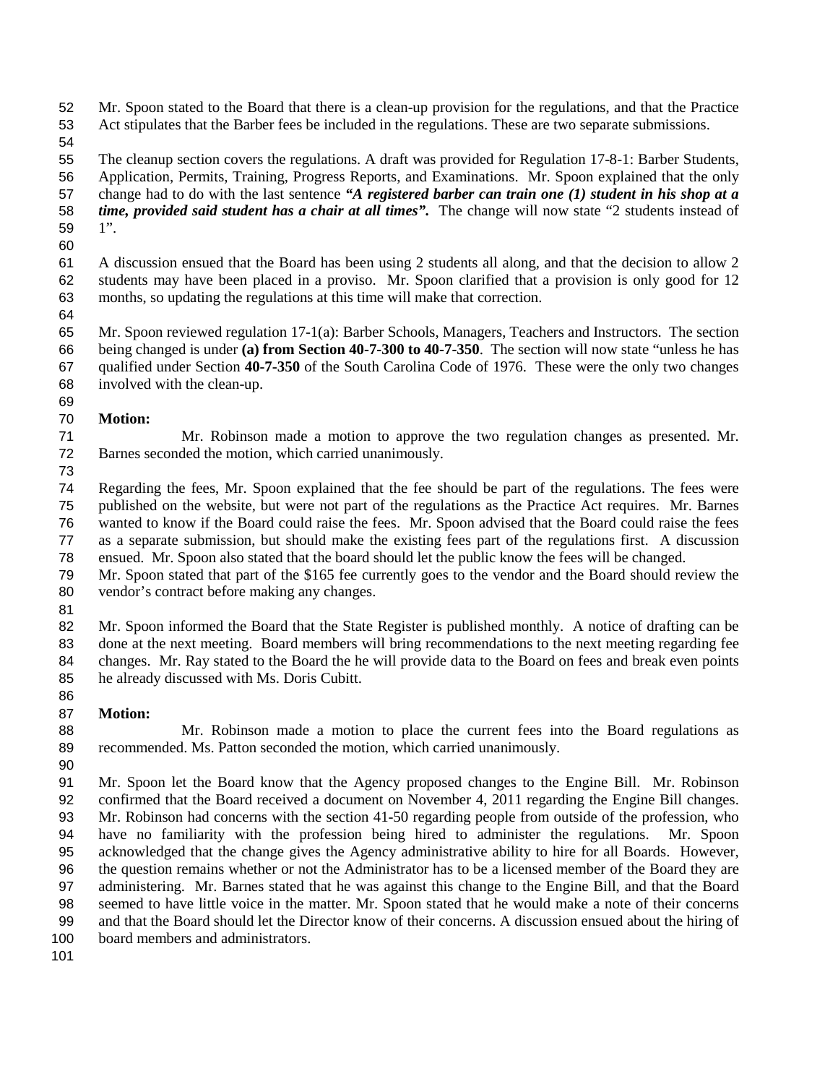Mr. Spoon stated to the Board that there is a clean-up provision for the regulations, and that the Practice Act stipulates that the Barber fees be included in the regulations. These are two separate submissions.

 The cleanup section covers the regulations. A draft was provided for Regulation 17-8-1: Barber Students, Application, Permits, Training, Progress Reports, and Examinations. Mr. Spoon explained that the only change had to do with the last sentence *"A registered barber can train one (1) student in his shop at a time, provided said student has a chair at all times".* The change will now state "2 students instead of 1".

- A discussion ensued that the Board has been using 2 students all along, and that the decision to allow 2 students may have been placed in a proviso. Mr. Spoon clarified that a provision is only good for 12 months, so updating the regulations at this time will make that correction.
- 

 Mr. Spoon reviewed regulation 17-1(a): Barber Schools, Managers, Teachers and Instructors. The section being changed is under **(a) from Section 40-7-300 to 40-7-350**. The section will now state "unless he has qualified under Section **40-7-350** of the South Carolina Code of 1976. These were the only two changes involved with the clean-up. 

**Motion:**

 Mr. Robinson made a motion to approve the two regulation changes as presented. Mr. Barnes seconded the motion, which carried unanimously.

 Regarding the fees, Mr. Spoon explained that the fee should be part of the regulations. The fees were published on the website, but were not part of the regulations as the Practice Act requires. Mr. Barnes wanted to know if the Board could raise the fees. Mr. Spoon advised that the Board could raise the fees as a separate submission, but should make the existing fees part of the regulations first. A discussion ensued. Mr. Spoon also stated that the board should let the public know the fees will be changed.

- Mr. Spoon stated that part of the \$165 fee currently goes to the vendor and the Board should review the vendor's contract before making any changes.
- 

82 Mr. Spoon informed the Board that the State Register is published monthly. A notice of drafting can be done at the next meeting. Board members will bring recommendations to the next meeting regarding fee changes. Mr. Ray stated to the Board the he will provide data to the Board on fees and break even points he already discussed with Ms. Doris Cubitt. 

## **Motion:**

 Mr. Robinson made a motion to place the current fees into the Board regulations as recommended. Ms. Patton seconded the motion, which carried unanimously.

 Mr. Spoon let the Board know that the Agency proposed changes to the Engine Bill. Mr. Robinson confirmed that the Board received a document on November 4, 2011 regarding the Engine Bill changes. Mr. Robinson had concerns with the section 41-50 regarding people from outside of the profession, who have no familiarity with the profession being hired to administer the regulations. Mr. Spoon acknowledged that the change gives the Agency administrative ability to hire for all Boards. However, the question remains whether or not the Administrator has to be a licensed member of the Board they are administering. Mr. Barnes stated that he was against this change to the Engine Bill, and that the Board seemed to have little voice in the matter. Mr. Spoon stated that he would make a note of their concerns and that the Board should let the Director know of their concerns. A discussion ensued about the hiring of board members and administrators.